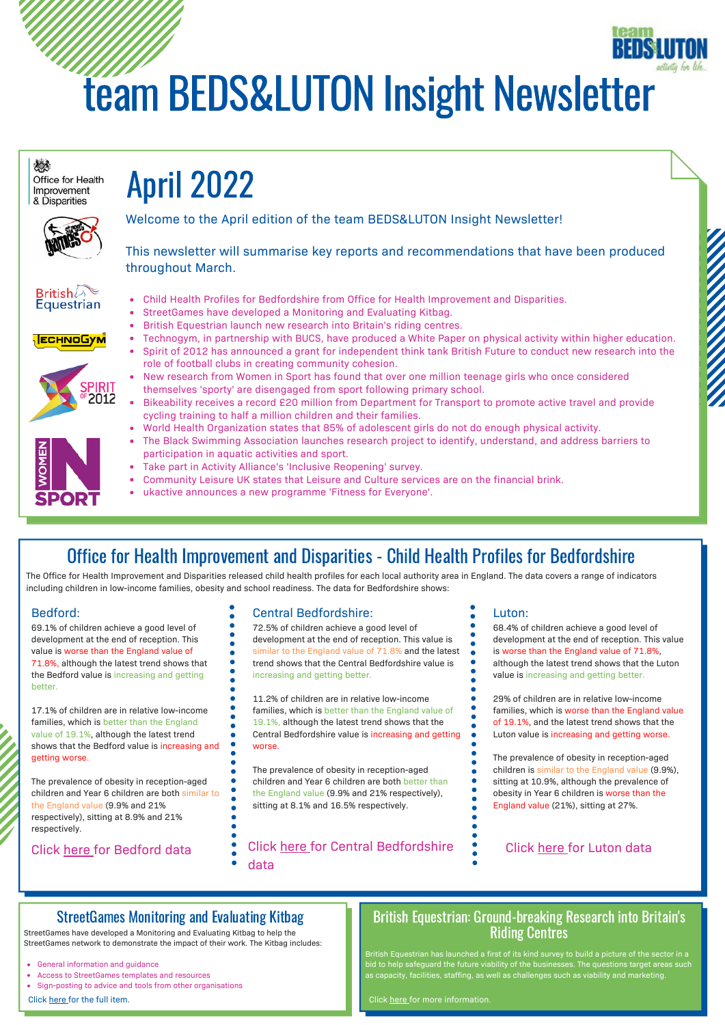# team BEDS&LUTON Insight Newsletter



# Office for Health Improvement and Disparities - Child Health Profiles for Bedfordshire

The Office for Health Improvement and Disparities released child health profiles for each local authority area in England. The data covers a range of indicators including children in low-income families, obesity and school readiness. The data for Bedfordshire shows:

#### Bedford:

69.1% of children achieve a good level of development at the end of reception. This value is worse than the England value of 71.8%, although the latest trend shows that the Bedford value is increasing and getting better.

17.1% of children are in relative low-income families, which is better than the England value of 19.1%, although the latest trend shows that the Bedford value is increasing and getting worse.

The prevalence of obesity in reception-aged children and Year 6 children are both similar to the England value (9.9% and 21% respectively), sitting at 8.9% and 21% respectively.

Click [here](https://fingertips.phe.org.uk/profile/child-health-profiles/data#page/1/ati/302/are/E06000055) for Bedford data

#### Central Bedfordshire:

72.5% of children achieve a good level of development at the end of reception. This value is similar to the England value of 71.8% and the latest trend shows that the Central Bedfordshire value is increasing and getting better.

11.2% of children are in relative low-income families, which is better than the England value of 19.1%, although the latest trend shows that the Central Bedfordshire value is increasing and getting worse.

The prevalence of obesity in reception-aged children and Year 6 children are both better than the England value (9.9% and 21% respectively), sitting at 8.1% and 16.5% respectively.

Click [here](https://fingertips.phe.org.uk/profile/child-health-profiles/data#page/1/gid/1938133228/pat/6/ati/302/are/E06000056/iid/92196/age/2/sex/4/cat/-1/ctp/-1/yrr/3/cid/4/tbm/1) for Central [Bedfordshire](https://fingertips.phe.org.uk/profile/child-health-profiles/data#page/1/gid/1938133228/pat/6/ati/302/are/E06000056/iid/92196/age/2/sex/4/cat/-1/ctp/-1/yrr/3/cid/4/tbm/1) data

#### Luton:

68.4% of children achieve a good level of development at the end of reception. This value is worse than the England value of 71.8%, although the latest trend shows that the Luton value is increasing and getting better.

29% of children are in relative low-income families, which is worse than the England value of 19.1%, and the latest trend shows that the Luton value is increasing and getting worse.

The prevalence of obesity in reception-aged children is similar to the England value (9.9%) sitting at 10.9%, although the prevalence of obesity in Year 6 children is worse than the England value (21%), sitting at 27%.

#### Click [here](https://fingertips.phe.org.uk/profile/child-health-profiles/data#page/1/gid/1938133228/pat/6/ati/302/are/E06000032/iid/92196/age/2/sex/4/cat/-1/ctp/-1/yrr/3/cid/4/tbm/1) for Luton data

# StreetGames Monitoring and Evaluating Kitbag

StreetGames have developed a Monitoring and Evaluating Kitbag to help the StreetGames network to demonstrate the impact of their work. The Kitbag includes:

- General information and guidance
- Access to StreetGames templates and resources
- Sign-posting to advice and tools from other organisations

Click [here](https://www.streetgames.org/monitoring-and-evaluation-kitbag) for the full item.

## British Equestrian: Ground-breaking Research into Britain's Riding Centres

bid to help safeguard the future viability of the businesses. The questions target areas such as capacity, facilities, staffing, as well as challenges such as viability and marketing.

Click [here](https://www.teambedsandluton.co.uk/news/2022/03/britishequestrianbritainsridingcentres) for more information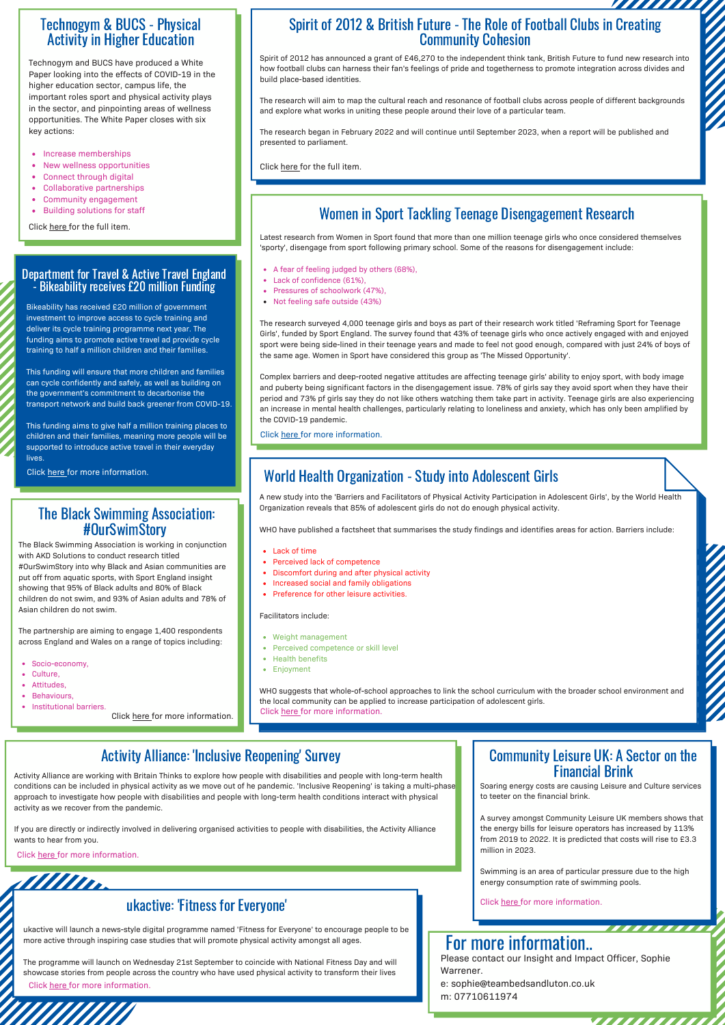### Technogym & BUCS - Physical Activity in Higher Education

Technogym and BUCS have produced a White Paper looking into the effects of COVID-19 in the higher education sector, campus life, the important roles sport and physical activity plays in the sector, and pinpointing areas of wellness opportunities. The White Paper closes with six key actions:

- Increase memberships
- New wellness opportunities
- Connect through digital
- Collaborative partnerships
- Community engagement
- $\bullet$ Building solutions for staff

Click [here](https://www.technogym.com/gb/) for the full item.

#### Department for Travel & Active Travel England - Bikeability receives £20 million Funding

Bikeability has received £20 million of government investment to improve access to cycle training and deliver its cycle training programme next year. The funding aims to promote active travel ad provide cycle training to half a million children and their families.

This funding will ensure that more children and families can cycle confidently and safely, as well as building on the government's commitment to decarbonise the transport network and build back greener from COVID-19.

This funding aims to give half a million training places to children and their families, meaning more people will be supported to introduce active travel in their everyday lives

Click [here](https://www.teambedsandluton.co.uk/news/2022/03/departmentfortravel-activetravelengland-bikeability) for more information.

### The Black Swimming Association: #OurSwimStory

The Black Swimming Association is working in conjunction with AKD Solutions to conduct research titled #OurSwimStory into why Black and Asian communities are put off from aquatic sports, with Sport England insight showing that 95% of Black adults and 80% of Black children do not swim, and 93% of Asian adults and 78% of Asian children do not swim.

The partnership are aiming to engage 1,400 respondents across England and Wales on a range of topics including:

- Socio-economy,
- Culture.
- Attitudes,
- **Behaviours**
- Institutional barriers.

Click [here](https://www.teambedsandluton.co.uk/news/2022/03/blackswimmingassociation-research) for more information.

# Spirit of 2012 & British Future - The Role of Football Clubs in Creating<br>
Community Cohesion<br>
2012 has announced a grant of £46,270 to the independent think tank, British Future to fund new research into<br>
thall clubs can h Community Cohesion

Spirit of 2012 has announced a grant of £46,270 to the independent think tank, British Future to fund new research into how football clubs can harness their fan's feelings of pride and togetherness to promote integration across divides and build place-based identities.

The research will aim to map the cultural reach and resonance of football clubs across people of different backgrounds and explore what works in uniting these people around their love of a particular team.

The research began in February 2022 and will continue until September 2023, when a report will be published and presented to parliament.

Click [here](https://spiritof2012.org.uk/shared-goals-new-research-british-future/) for the full item.

# Women in Sport Tackling Teenage Disengagement Research

Latest research from Women in Sport found that more than one million teenage girls who once considered themselves 'sporty', disengage from sport following primary school. Some of the reasons for disengagement include:

- A fear of feeling judged by others (68%),
- Lack of confidence (61%),
- Pressures of schoolwork (47%),
- Not feeling safe outside (43%)

The research surveyed 4,000 teenage girls and boys as part of their research work titled 'Reframing Sport for Teenage Girls', funded by Sport England. The survey found that 43% of teenage girls who once actively engaged with and enjoyed sport were being side-lined in their teenage years and made to feel not good enough, compared with just 24% of boys of the same age. Women in Sport have considered this group as 'The Missed Opportunity'.

Complex barriers and deep-rooted negative attitudes are affecting teenage girls' ability to enjoy sport, with body image and puberty being significant factors in the disengagement issue. 78% of girls say they avoid sport when they have their period and 73% pf girls say they do not like others watching them take part in activity. Teenage girls are also experiencing an increase in mental health challenges, particularly relating to loneliness and anxiety, which has only been amplified by the COVID-19 pandemic.

Click [here](https://www.teambedsandluton.co.uk/news/2022/03/womeninsport-research) for more information.

# World Health Organization - Study into Adolescent Girls

A new study into the 'Barriers and Facilitators of Physical Activity Participation in Adolescent Girls', by the World Health Organization reveals that 85% of adolescent girls do not do enough physical activity.

WHO have published a factsheet that summarises the study findings and identifies areas for action. Barriers include:

- Perceived lack of competence
- Discomfort during and after physical activity
- Increased social and family obligations
- Preference for other leisure activities.

#### Facilitators include:

- Weight management
- Perceived competence or skill level
- Health benefits Enjoyment
- 

WHO suggests that whole-of-school approaches to link the school curriculum with the broader school environment and the local community can be applied to increase participation of adolescent girls. Click [here](https://www.teambedsandluton.co.uk/news/2022/03/worldheathorganization-adolescentgirls) for more information.

# Activity Alliance: 'Inclusive Reopening' Survey

Activity Alliance are working with Britain Thinks to explore how people with disabilities and people with long-term health conditions can be included in physical activity as we move out of he pandemic. 'Inclusive Reopening' is taking a multi-phase approach to investigate how people with disabilities and people with long-term health conditions interact with physical activity as we recover from the pandemic.

If you are directly or indirectly involved in delivering organised activities to people with disabilities, the Activity Alliance wants to hear from you.

Click [here](https://www.teambedsandluton.co.uk/news/2022/03/activityallianceinclusivereopening) for more information.

# Alllin

# ukactive: 'Fitness for Everyone'

ukactive will launch a news-style digital programme named 'Fitness for Everyone' to encourage people to be more active through inspiring case studies that will promote physical activity amongst all ages.

The programme will launch on Wednesday 21st September to coincide with National Fitness Day and will showcase stories from people across the country who have used physical activity to transform their lives Click [here](https://www.teambedsandluton.co.uk/news/2022/03/ukactivefitnessforeveryone) [f](https://www.teambedsandluton.co.uk/news/2022/03/communityleisureuksectoronfinancialbrink)or more information.

#### Community Leisure UK: A Sector on the Financial Brink

Soaring energy costs are causing Leisure and Culture services to teeter on the financial brink.

A survey amongst Community Leisure UK members shows that the energy bills for leisure operators has increased by 113% from 2019 to 2022. It is predicted that costs will rise to £3.3 million in 2023.

Swimming is an area of particular pressure due to the high energy consumption rate of swimming pools.

,,,,,,,,,,

777777777

Click [here](https://www.teambedsandluton.co.uk/news/2022/03/communityleisureuksectoronfinancialbrink) for more information.

### For more information..

Please contact our Insight and Impact Officer, Sophie Warrener.

e: sophie@teambedsandluton.co.uk m: 07710611974

• Lack of time